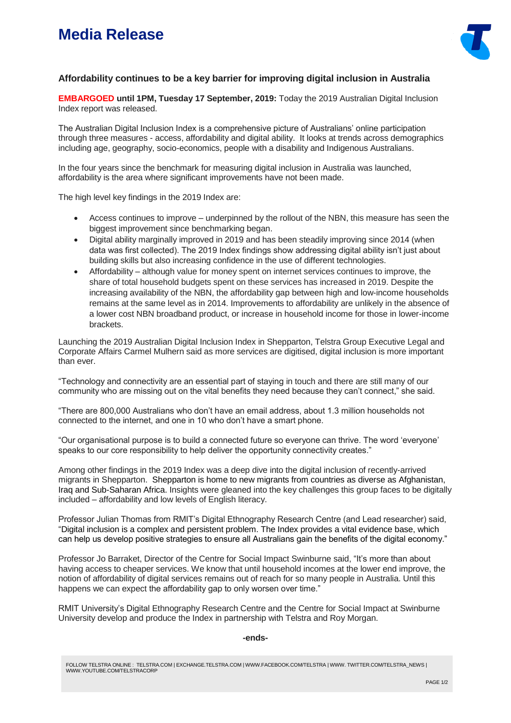# **Media Release**



### **Affordability continues to be a key barrier for improving digital inclusion in Australia**

**EMBARGOED until 1PM, Tuesday 17 September, 2019:** Today the 2019 Australian Digital Inclusion Index report was released.

The Australian Digital Inclusion Index is a comprehensive picture of Australians' online participation through three measures - access, affordability and digital ability. It looks at trends across demographics including age, geography, socio-economics, people with a disability and Indigenous Australians.

In the four years since the benchmark for measuring digital inclusion in Australia was launched, affordability is the area where significant improvements have not been made.

The high level key findings in the 2019 Index are:

- Access continues to improve underpinned by the rollout of the NBN, this measure has seen the biggest improvement since benchmarking began.
- Digital ability marginally improved in 2019 and has been steadily improving since 2014 (when data was first collected). The 2019 Index findings show addressing digital ability isn't just about building skills but also increasing confidence in the use of different technologies.
- Affordability although value for money spent on internet services continues to improve, the share of total household budgets spent on these services has increased in 2019. Despite the increasing availability of the NBN, the affordability gap between high and low-income households remains at the same level as in 2014. Improvements to affordability are unlikely in the absence of a lower cost NBN broadband product, or increase in household income for those in lower-income brackets.

Launching the 2019 Australian Digital Inclusion Index in Shepparton, Telstra Group Executive Legal and Corporate Affairs Carmel Mulhern said as more services are digitised, digital inclusion is more important than ever.

"Technology and connectivity are an essential part of staying in touch and there are still many of our community who are missing out on the vital benefits they need because they can't connect," she said.

"There are 800,000 Australians who don't have an email address, about 1.3 million households not connected to the internet, and one in 10 who don't have a smart phone.

"Our organisational purpose is to build a connected future so everyone can thrive. The word 'everyone' speaks to our core responsibility to help deliver the opportunity connectivity creates."

Among other findings in the 2019 Index was a deep dive into the digital inclusion of recently-arrived migrants in Shepparton. Shepparton is home to new migrants from countries as diverse as Afghanistan, Iraq and Sub-Saharan Africa. Insights were gleaned into the key challenges this group faces to be digitally included – affordability and low levels of English literacy.

Professor Julian Thomas from RMIT's Digital Ethnography Research Centre (and Lead researcher) said, "Digital inclusion is a complex and persistent problem. The Index provides a vital evidence base, which can help us develop positive strategies to ensure all Australians gain the benefits of the digital economy."

Professor Jo Barraket, Director of the Centre for Social Impact Swinburne said, "It's more than about having access to cheaper services. We know that until household incomes at the lower end improve, the notion of affordability of digital services remains out of reach for so many people in Australia. Until this happens we can expect the affordability gap to only worsen over time."

RMIT University's Digital Ethnography Research Centre and the Centre for Social Impact at Swinburne University develop and produce the Index in partnership with Telstra and Roy Morgan.

#### **-ends-**

FOLLOW TELSTRA ONLINE : TELSTRA.COM | EXCHANGE.TELSTRA.COM | WWW.FACEBOOK.COM/TELSTRA | WWW. TWITTER.COM/TELSTRA\_NEWS | WWW.YOUTUBE.COM/TELSTRACORP